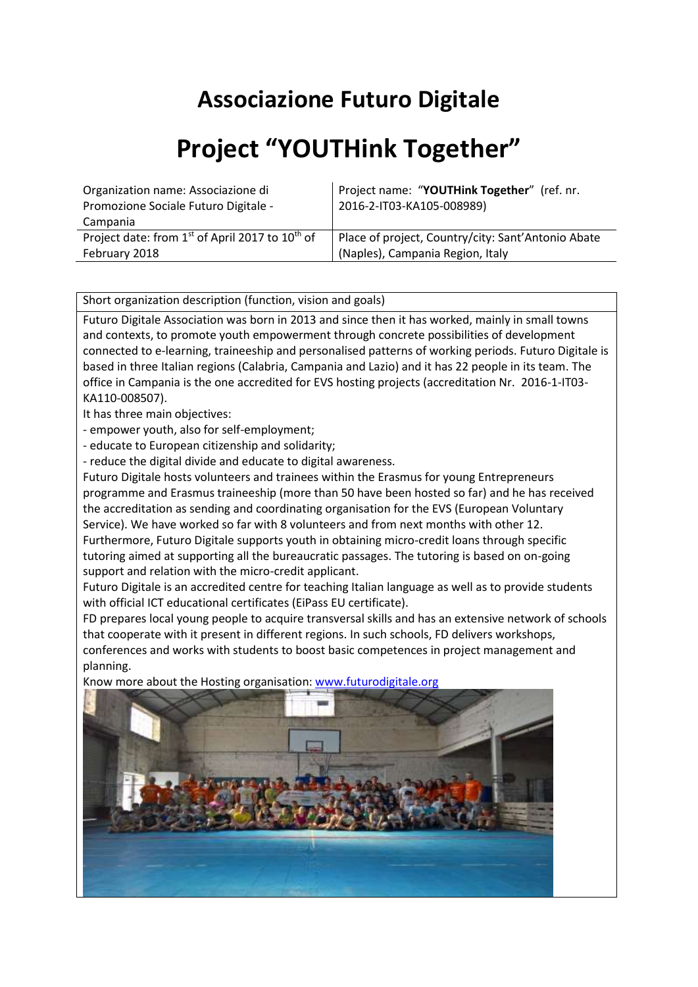## **Associazione Futuro Digitale**

## **Project "YOUTHink Together"**

| Organization name: Associazione di                                      | Project name: "YOUTHink Together" (ref. nr.        |
|-------------------------------------------------------------------------|----------------------------------------------------|
| Promozione Sociale Futuro Digitale -                                    | 2016-2-IT03-KA105-008989)                          |
| Campania                                                                |                                                    |
| Project date: from 1 <sup>st</sup> of April 2017 to 10 <sup>th</sup> of | Place of project, Country/city: Sant'Antonio Abate |
| February 2018                                                           | (Naples), Campania Region, Italy                   |

Short organization description (function, vision and goals)

Futuro Digitale Association was born in 2013 and since then it has worked, mainly in small towns and contexts, to promote youth empowerment through concrete possibilities of development connected to e-learning, traineeship and personalised patterns of working periods. Futuro Digitale is based in three Italian regions (Calabria, Campania and Lazio) and it has 22 people in its team. The office in Campania is the one accredited for EVS hosting projects (accreditation Nr. 2016-1-IT03- KA110-008507).

It has three main objectives:

- empower youth, also for self-employment;

- educate to European citizenship and solidarity;

- reduce the digital divide and educate to digital awareness.

Futuro Digitale hosts volunteers and trainees within the Erasmus for young Entrepreneurs programme and Erasmus traineeship (more than 50 have been hosted so far) and he has received the accreditation as sending and coordinating organisation for the EVS (European Voluntary Service). We have worked so far with 8 volunteers and from next months with other 12. Furthermore, Futuro Digitale supports youth in obtaining micro-credit loans through specific tutoring aimed at supporting all the bureaucratic passages. The tutoring is based on on-going support and relation with the micro-credit applicant.

Futuro Digitale is an accredited centre for teaching Italian language as well as to provide students with official ICT educational certificates (EiPass EU certificate).

FD prepares local young people to acquire transversal skills and has an extensive network of schools that cooperate with it present in different regions. In such schools, FD delivers workshops, conferences and works with students to boost basic competences in project management and planning.



Know more about the Hosting organisation: [www.futurodigitale.org](http://www.futurodigitale.org/)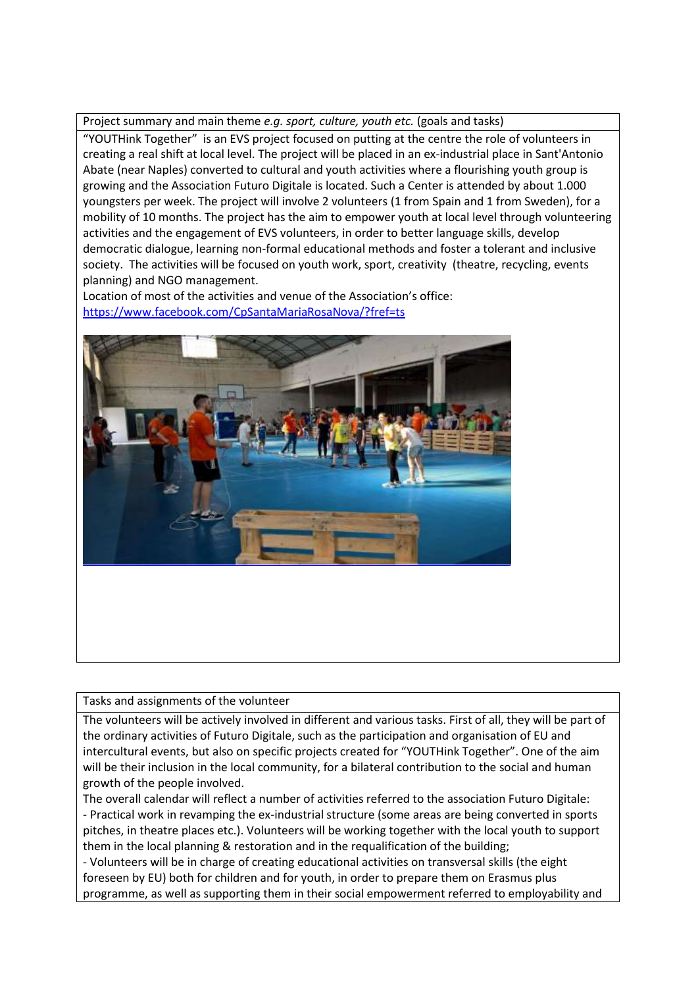## Project summary and main theme *e.g. sport, culture, youth etc.* (goals and tasks)

"YOUTHink Together" is an EVS project focused on putting at the centre the role of volunteers in creating a real shift at local level. The project will be placed in an ex-industrial place in Sant'Antonio Abate (near Naples) converted to cultural and youth activities where a flourishing youth group is growing and the Association Futuro Digitale is located. Such a Center is attended by about 1.000 youngsters per week. The project will involve 2 volunteers (1 from Spain and 1 from Sweden), for a mobility of 10 months. The project has the aim to empower youth at local level through volunteering activities and the engagement of EVS volunteers, in order to better language skills, develop democratic dialogue, learning non-formal educational methods and foster a tolerant and inclusive society. The activities will be focused on youth work, sport, creativity (theatre, recycling, events planning) and NGO management.

Location of most of the activities and venue of the Association's office: <https://www.facebook.com/CpSantaMariaRosaNova/?fref=ts>



Tasks and assignments of the volunteer

The volunteers will be actively involved in different and various tasks. First of all, they will be part of the ordinary activities of Futuro Digitale, such as the participation and organisation of EU and intercultural events, but also on specific projects created for "YOUTHink Together". One of the aim will be their inclusion in the local community, for a bilateral contribution to the social and human growth of the people involved.

The overall calendar will reflect a number of activities referred to the association Futuro Digitale: - Practical work in revamping the ex-industrial structure (some areas are being converted in sports pitches, in theatre places etc.). Volunteers will be working together with the local youth to support them in the local planning & restoration and in the requalification of the building;

- Volunteers will be in charge of creating educational activities on transversal skills (the eight foreseen by EU) both for children and for youth, in order to prepare them on Erasmus plus programme, as well as supporting them in their social empowerment referred to employability and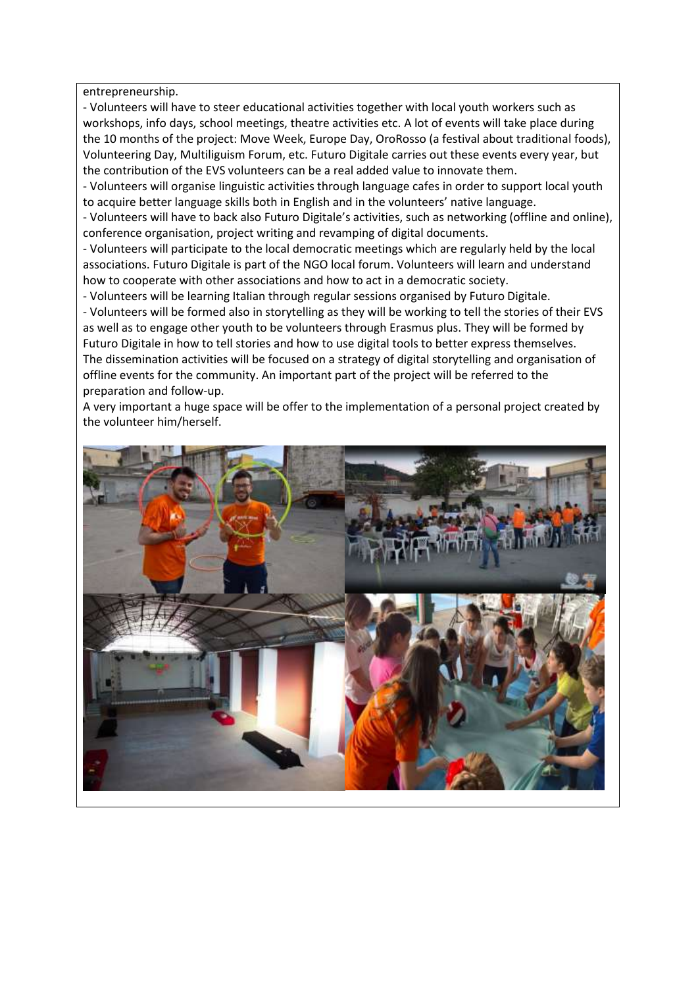entrepreneurship.

- Volunteers will have to steer educational activities together with local youth workers such as workshops, info days, school meetings, theatre activities etc. A lot of events will take place during the 10 months of the project: Move Week, Europe Day, OroRosso (a festival about traditional foods), Volunteering Day, Multiliguism Forum, etc. Futuro Digitale carries out these events every year, but the contribution of the EVS volunteers can be a real added value to innovate them.

- Volunteers will organise linguistic activities through language cafes in order to support local youth to acquire better language skills both in English and in the volunteers' native language.

- Volunteers will have to back also Futuro Digitale's activities, such as networking (offline and online), conference organisation, project writing and revamping of digital documents.

- Volunteers will participate to the local democratic meetings which are regularly held by the local associations. Futuro Digitale is part of the NGO local forum. Volunteers will learn and understand how to cooperate with other associations and how to act in a democratic society.

- Volunteers will be learning Italian through regular sessions organised by Futuro Digitale. - Volunteers will be formed also in storytelling as they will be working to tell the stories of their EVS as well as to engage other youth to be volunteers through Erasmus plus. They will be formed by Futuro Digitale in how to tell stories and how to use digital tools to better express themselves. The dissemination activities will be focused on a strategy of digital storytelling and organisation of offline events for the community. An important part of the project will be referred to the preparation and follow-up.

A very important a huge space will be offer to the implementation of a personal project created by the volunteer him/herself.

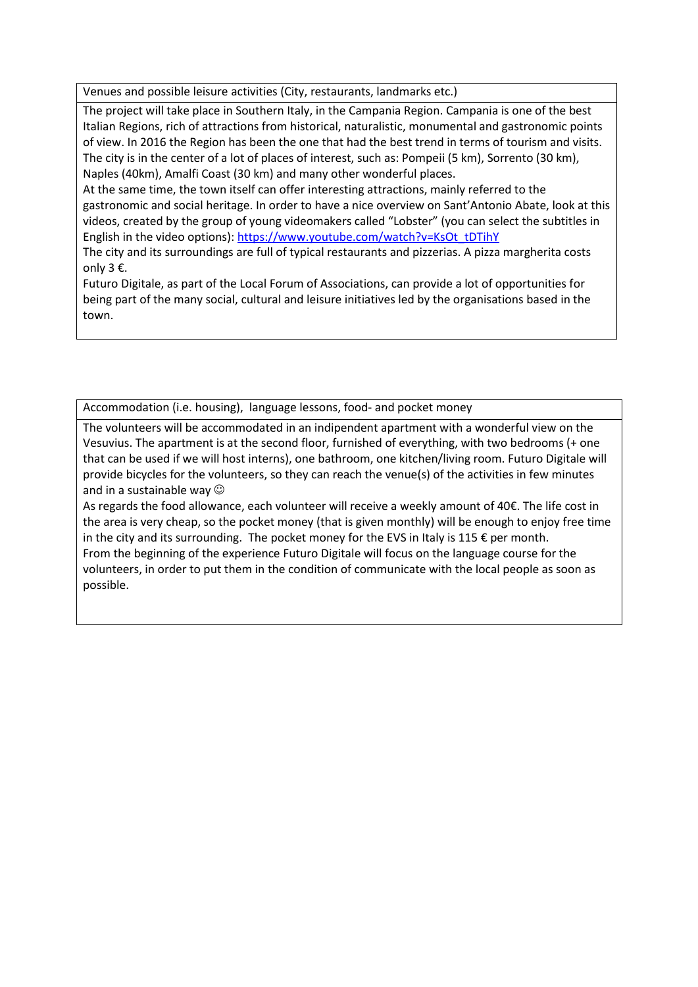Venues and possible leisure activities (City, restaurants, landmarks etc.)

The project will take place in Southern Italy, in the Campania Region. Campania is one of the best Italian Regions, rich of attractions from historical, naturalistic, monumental and gastronomic points of view. In 2016 the Region has been the one that had the best trend in terms of tourism and visits. The city is in the center of a lot of places of interest, such as: Pompeii (5 km), Sorrento (30 km), Naples (40km), Amalfi Coast (30 km) and many other wonderful places.

At the same time, the town itself can offer interesting attractions, mainly referred to the gastronomic and social heritage. In order to have a nice overview on Sant'Antonio Abate, look at this videos, created by the group of young videomakers called "Lobster" (you can select the subtitles in English in the video options): [https://www.youtube.com/watch?v=KsOt\\_tDTihY](https://www.youtube.com/watch?v=KsOt_tDTihY)

The city and its surroundings are full of typical restaurants and pizzerias. A pizza margherita costs only 3 €.

Futuro Digitale, as part of the Local Forum of Associations, can provide a lot of opportunities for being part of the many social, cultural and leisure initiatives led by the organisations based in the town.

Accommodation (i.e. housing), language lessons, food- and pocket money

The volunteers will be accommodated in an indipendent apartment with a wonderful view on the Vesuvius. The apartment is at the second floor, furnished of everything, with two bedrooms (+ one that can be used if we will host interns), one bathroom, one kitchen/living room. Futuro Digitale will provide bicycles for the volunteers, so they can reach the venue(s) of the activities in few minutes and in a sustainable way  $\odot$ 

As regards the food allowance, each volunteer will receive a weekly amount of 40€. The life cost in the area is very cheap, so the pocket money (that is given monthly) will be enough to enjoy free time in the city and its surrounding. The pocket money for the EVS in Italy is  $115 \epsilon$  per month. From the beginning of the experience Futuro Digitale will focus on the language course for the volunteers, in order to put them in the condition of communicate with the local people as soon as possible.